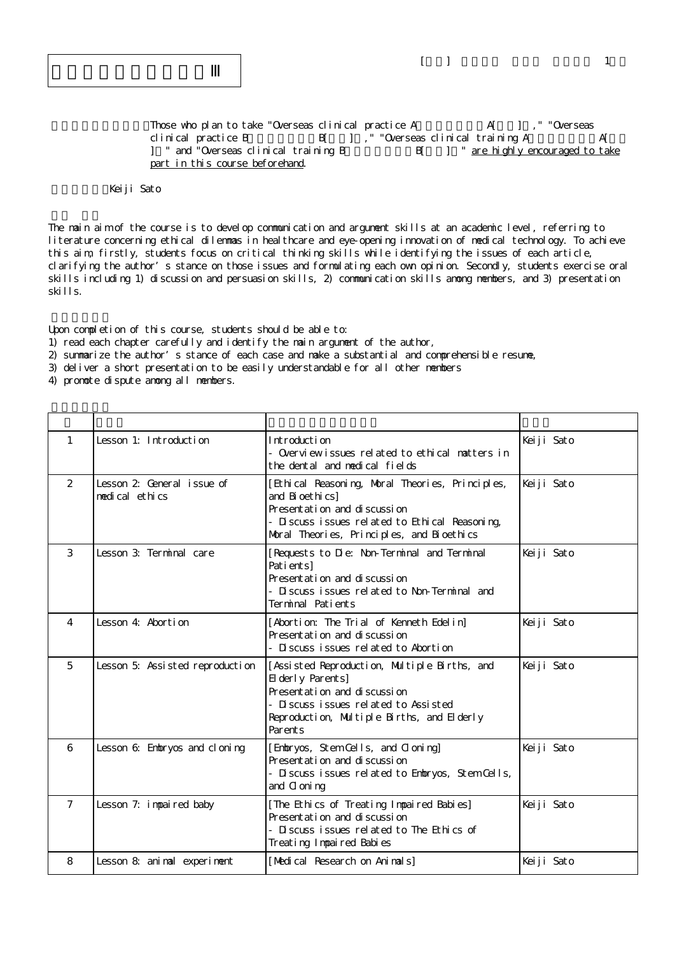$\lceil \quad \rceil$ 

Those who plan to take "Overseas clinical practice A $A$ [ ], " "Overseas clinical practice B
B  $\begin{bmatrix} 1 \\ 1 \end{bmatrix}$ , "Overseas clinical training A
A[ ] " and "Overseas clinical training B B[ ] " are highly encouraged to take part in this course beforehand.

## Keiji Sato

The main aim of the course is to develop communication and argument skills at an academic level, referring to literature concerning ethical dilemmas in healthcare and eye-opening innovation of medical technology. To achieve this aim, firstly, students focus on critical thinking skills while identifying the issues of each article, clarifying the author's stance on those issues and formulating each own opinion. Secondly, students exercise oral skills including 1) discussion and persuasion skills, 2) communication skills anong members, and 3) presentation skills.

Upon completion of this course, students should be able to:

- 1) read each chapter carefully and identify the main argument of the author,
- 2) summarize the author's stance of each case and make a substantial and comprehensible resume,
- 3) deliver a short presentation to be easily understandable for all other members

4) promote dispute among all members.

| $\mathbf{1}$   | Lesson 1: Introduction                      | Introduction<br>- Overviewissues related to ethical matters in<br>the dental and medical fields                                                                                                      | Keiji Sato |
|----------------|---------------------------------------------|------------------------------------------------------------------------------------------------------------------------------------------------------------------------------------------------------|------------|
| 2              | Lesson 2 General issue of<br>medical ethics | [Ethical Reasoning, Moral Theories, Principles,<br>and Bi oethi cs]<br>Presentati on and di scussi on<br>- Discuss issues related to Ethical Reasoning,<br>Moral Theories, Principles, and Bioethics | Keiji Sato |
| 3              | Lesson 3: Terminal care                     | [Requests to Die: Non-Terminal and Terminal<br>Pati entsl<br>Presentation and discussion<br>- Discuss issues related to Non-Terminal and<br>Terminal Patients                                        | Keiji Sato |
| 4              | Lesson 4: Abortion                          | [Abortion: The Trial of Kenneth Edelin]<br>Presentation and discussion<br>- Discuss issues related to Abortion                                                                                       | Keiji Sato |
| 5              | Lesson 5: Assisted reproduction             | [Assisted Reproduction, Multiple Births, and<br>El derly Parents]<br>Presentation and discussion<br>- Discuss issues related to Assisted<br>Reproduction, Multiple Births, and Elderly<br>Parents    | Keiji Sato |
| 6              | Lesson 6: Embryos and cloning               | [Embryos, Stem Cells, and Cloning]<br>Presentati on and di scussi on<br>- Discuss issues related to Embryos, Stem Cells,<br>and C oni ng                                                             | Keiji Sato |
| $\overline{7}$ | Lesson 7: impaired baby                     | [The Ethics of Treating Impaired Babies]<br>Presentati on and di scussi on<br>- Discuss issues related to The Ethics of<br>Treating Impaired Babies                                                  | Keiji Sato |
| 8              | Lesson 8: animal experiment                 | [Medical Research on Animals]                                                                                                                                                                        | Keiji Sato |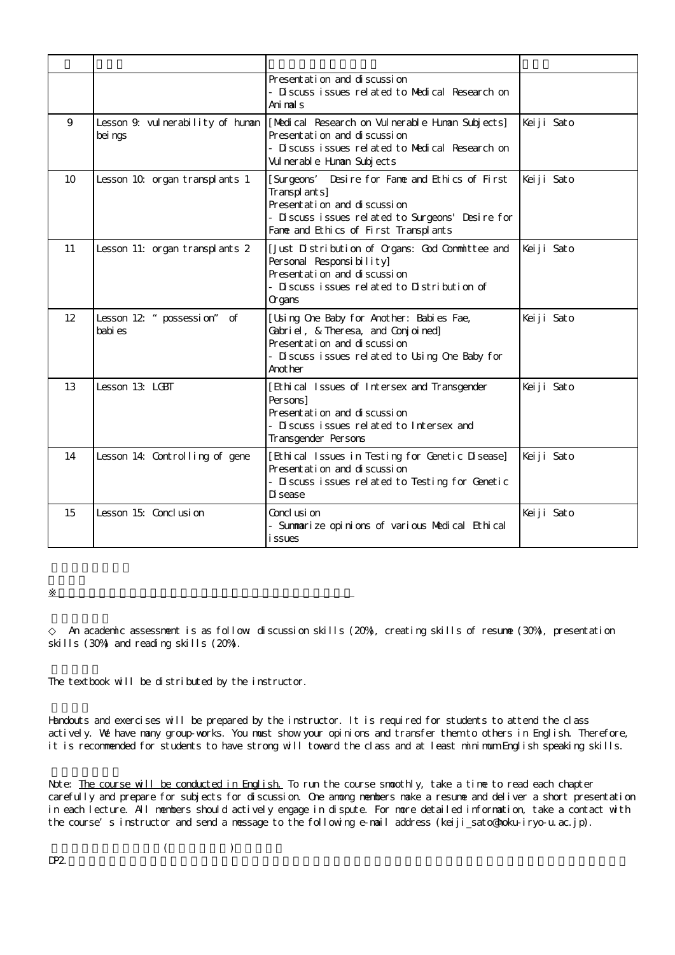|                 |                                              | Presentati on and di scussi on<br>- Discuss issues related to Medical Research on<br>Ani mal s                                                                                               |            |
|-----------------|----------------------------------------------|----------------------------------------------------------------------------------------------------------------------------------------------------------------------------------------------|------------|
| 9               | Lesson 9. vul nerability of human<br>bei ngs | [Medical Research on Vulnerable Human Subjects]<br>Presentation and discussion<br>- Discuss issues related to Medical Research on<br>Vul nerable Human Subjects                              | Keiji Sato |
| 10              | Lesson 10 organ transplants 1                | Desire for Fame and Ethics of First<br>[Surgeons'<br>Transplants]<br>Presentation and discussion<br>- Discuss issues related to Surgeons' Desire for<br>Fame and Ethics of First Transplants | Keiji Sato |
| 11              | Lesson 11: organ transplants 2               | [Just Distribution of Organs: God Committee and<br>Personal Responsibility]<br>Presentation and discussion<br>- Discuss issues related to Distribution of<br>Organs                          | Keiji Sato |
| 12 <sup>°</sup> | Lesson 12 " possessi on" of<br>babi es       | [Usi ng One Baby for Another: Babi es Fae,<br>Gabriel, & Theresa, and Conjoined]<br>Presentation and discussion<br>- Discuss issues related to Using One Baby for<br>Anot her                | Keiji Sato |
| 13              | Lesson 13: LGBT                              | [Ethi cal Issues of Intersex and Transgender<br>Per sons1<br>Presentation and discussion<br>- Discuss issues related to Intersex and<br>Transgender Persons                                  | Keiji Sato |
| 14              | Lesson 14: Controlling of gene               | [Ethical Issues in Testing for Genetic Disease]<br>Presentation and discussion<br>- Discuss issues related to Testing for Genetic<br>Di sease                                                | Keiji Sato |
| 15              | Lesson 15: Conclusion                        | Concl usi on<br>- Summarize opinions of various Medical Ethical<br><i>i</i> ssues                                                                                                            | Keiji Sato |

An academic assessment is as follow discussion skills (20%), creating skills of resume (30%), presentation skills (30%) and reading skills (20%).

The textbook will be distributed by the instructor.

 $\mathbb{R}^d$  , and the set of the set of the set of the set of the set of the set of the set of the set of the set of the set of the set of the set of the set of the set of the set of the set of the set of the set of the se

Handouts and exercises will be prepared by the instructor. It is required for students to attend the class actively. We have many group-works. You must show your opinions and transfer them to others in English. Therefore, it is recommended for students to have strong will toward the class and at least minimum English speaking skills.

Note: The course will be conducted in English. To run the course smoothly, take a time to read each chapter carefully and prepare for subjects for discussion. One among members make a resume and deliver a short presentation in each lecture. All members should actively engage in dispute. For more detailed information, take a contact with the course's instructor and send a message to the following e-mail address (keiji\_sato@hoku-iryo-u.ac.jp).

 $DP2$ .

 $($